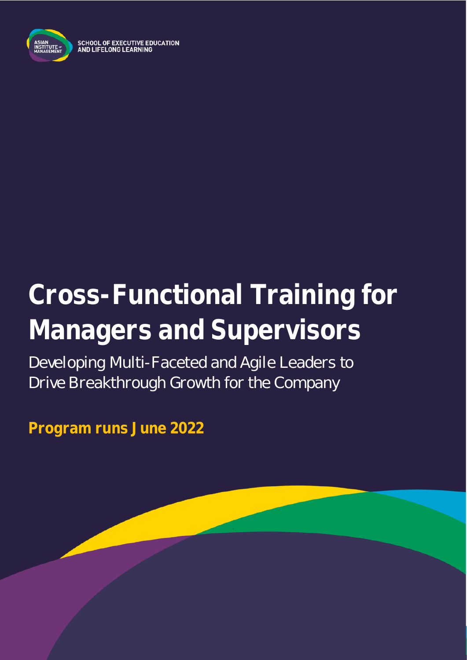

SCHOOL OF EXECUTIVE EDUCATION<br>AND LIFELONG LEARNING

# **Cross-Functional Training for Managers and Supervisors**

Developing Multi-Faceted and Agile Leaders to Drive Breakthrough Growth for the Company

**Program runs June 2022**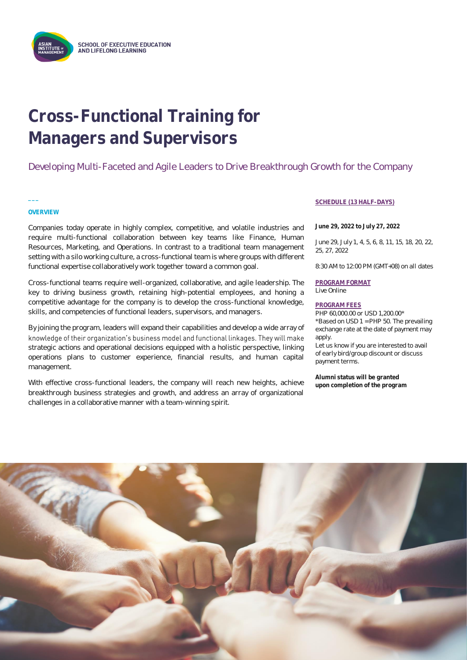

# **Cross-Functional Training for Managers and Supervisors**

Developing Multi-Faceted and Agile Leaders to Drive Breakthrough Growth for the Company

### **OVERVIEW**

**\_\_\_**

Companies today operate in highly complex, competitive, and volatile industries and require multi-functional collaboration between key teams like Finance, Human Resources, Marketing, and Operations. In contrast to a traditional team management setting with a silo working culture, a cross-functional team is where groups with different functional expertise collaboratively work together toward a common goal.

Cross-functional teams require well-organized, collaborative, and agile leadership. The key to driving business growth, retaining high-potential employees, and honing a competitive advantage for the company is to develop the cross-functional knowledge, skills, and competencies of functional leaders, supervisors, and managers.

By joining the program, leaders will expand their capabilities and develop a wide array of knowledge of their organization's business model and functional linkages. They will make strategic actions and operational decisions equipped with a holistic perspective, linking operations plans to customer experience, financial results, and human capital management.

With effective cross-functional leaders, the company will reach new heights, achieve breakthrough business strategies and growth, and address an array of organizational challenges in a collaborative manner with a team-winning spirit.

### **SCHEDULE (13 HALF-DAYS)**

**June 29, 2022 to July 27, 2022**

June 29, July 1, 4, 5, 6, 8, 11, 15, 18, 20, 22, 25, 27, 2022

8:30 AM to 12:00 PM (GMT+08) on all dates

**PROGRAM FORMAT** Live Online

#### **PROGRAM FEES**

PHP 60,000.00 or USD 1,200.00\* \*Based on USD 1 = PHP 50. The prevailing exchange rate at the date of payment may apply.

Let us know if you are interested to avail of early bird/group discount or discuss payment terms.

**Alumni status will be granted upon completion of the program**

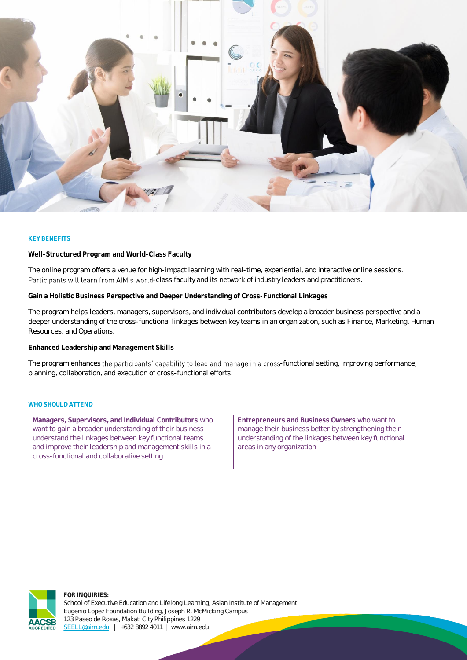

### **KEY BENEFITS**

**Well-Structured Program and World-Class Faculty**

The online program offers a venue for high-impact learning with real-time, experiential, and interactive online sessions. Participants will learn from AIM's world-class faculty and its network of industry leaders and practitioners.

**Gain a Holistic Business Perspective and Deeper Understanding of Cross-Functional Linkages**

The program helps leaders, managers, supervisors, and individual contributors develop a broader business perspective and a deeper understanding of the cross-functional linkages between key teams in an organization, such as Finance, Marketing, Human Resources, and Operations.

**Enhanced Leadership and Management Skills**

The program enhances the participants' capability to lead and manage in a cross-functional setting, improving performance, planning, collaboration, and execution of cross-functional efforts.

### **WHO SHOULD ATTEND**

**Managers, Supervisors, and Individual Contributors** who want to gain a broader understanding of their business understand the linkages between key functional teams and improve their leadership and management skills in a cross-functional and collaborative setting.

**Entrepreneurs and Business Owners** who want to manage their business better by strengthening their understanding of the linkages between key functional areas in any organization

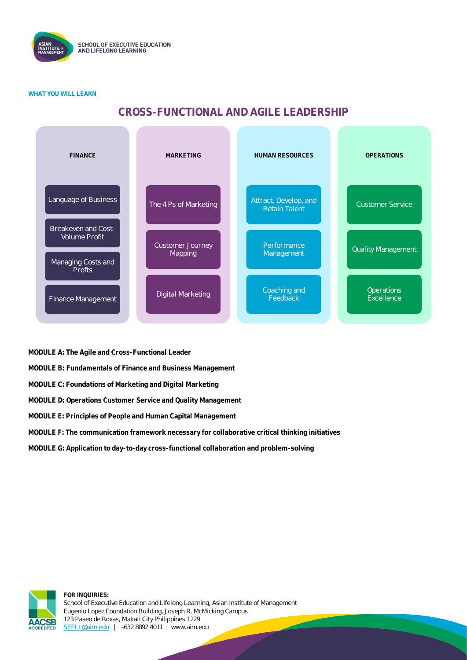

### **WHAT YOU WILL LEARN**

### **CROSS-FUNCTIONAL AND AGILE LEADERSHIP**



**MODULE A: The Agile and Cross-Functional Leader**

**MODULE B: Fundamentals of Finance and Business Management**

**MODULE C: Foundations of Marketing and Digital Marketing**

**MODULE D: Operations Customer Service and Quality Management**

**MODULE E: Principles of People and Human Capital Management**

**MODULE F: The communication framework necessary for collaborative critical thinking initiatives**

**MODULE G: Application to day-to-day cross-functional collaboration and problem-solving**

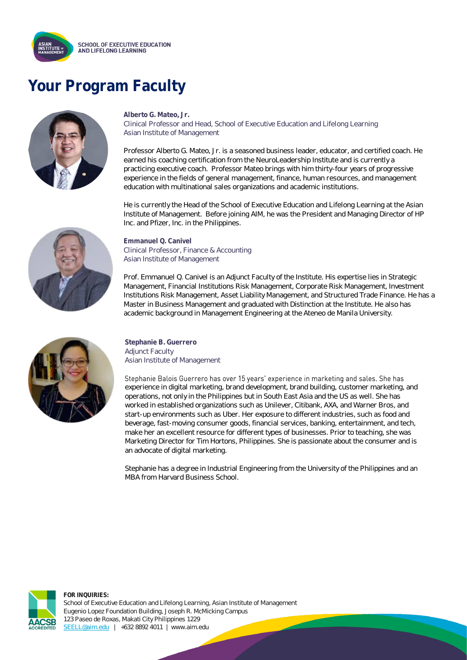

# **Your Program Faculty**



### **Alberto G. Mateo, Jr.**

Clinical Professor and Head, School of Executive Education and Lifelong Learning Asian Institute of Management

Professor Alberto G. Mateo, Jr. is a seasoned business leader, educator, and certified coach. He earned his coaching certification from the NeuroLeadership Institute and is currently a practicing executive coach. Professor Mateo brings with him thirty-four years of progressive experience in the fields of general management, finance, human resources, and management education with multinational sales organizations and academic institutions.

He is currently the Head of the School of Executive Education and Lifelong Learning at the Asian Institute of Management. Before joining AIM, he was the President and Managing Director of HP Inc. and Pfizer, Inc. in the Philippines.



**Emmanuel Q. Canivel** Clinical Professor, Finance & Accounting Asian Institute of Management

Prof. Emmanuel Q. Canivel is an Adjunct Faculty of the Institute. His expertise lies in Strategic Management, Financial Institutions Risk Management, Corporate Risk Management, Investment Institutions Risk Management, Asset Liability Management, and Structured Trade Finance. He has a Master in Business Management and graduated with Distinction at the Institute. He also has academic background in Management Engineering at the Ateneo de Manila University.



**Stephanie B. Guerrero** Adjunct Faculty Asian Institute of Management

Stephanie Balois Guerrero has over 15 years' experience in marketing and sales. She has experience in digital marketing, brand development, brand building, customer marketing, and operations, not only in the Philippines but in South East Asia and the US as well. She has worked in established organizations such as Unilever, Citibank, AXA, and Warner Bros, and start-up environments such as Uber. Her exposure to different industries, such as food and beverage, fast-moving consumer goods, financial services, banking, entertainment, and tech, make her an excellent resource for different types of businesses. Prior to teaching, she was Marketing Director for Tim Hortons, Philippines. She is passionate about the consumer and is an advocate of digital marketing.

Stephanie has a degree in Industrial Engineering from the University of the Philippines and an MBA from Harvard Business School.

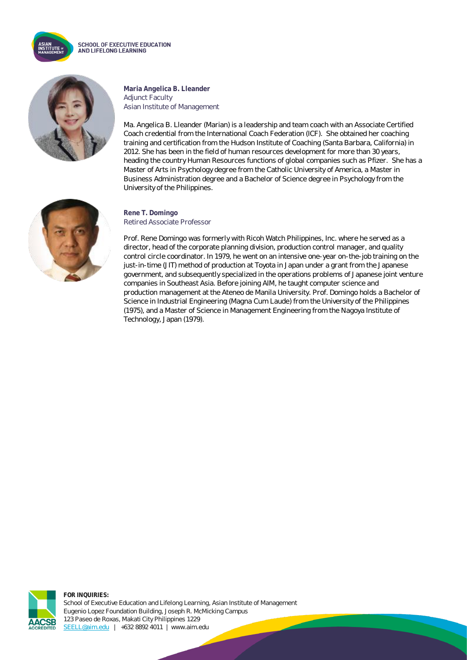

**SCHOOL OF EXECUTIVE EDUCATION** AND LIFELONG LEARNING



**Maria Angelica B. Lleander** Adjunct Faculty Asian Institute of Management

Ma. Angelica B. Lleander (Marian) is a leadership and team coach with an Associate Certified Coach credential from the International Coach Federation (ICF). She obtained her coaching training and certification from the Hudson Institute of Coaching (Santa Barbara, California) in 2012. She has been in the field of human resources development for more than 30 years, heading the country Human Resources functions of global companies such as Pfizer. She has a Master of Arts in Psychology degree from the Catholic University of America, a Master in Business Administration degree and a Bachelor of Science degree in Psychology from the University of the Philippines.



### **Rene T. Domingo** Retired Associate Professor

Prof. Rene Domingo was formerly with Ricoh Watch Philippines, Inc. where he served as a director, head of the corporate planning division, production control manager, and quality control circle coordinator. In 1979, he went on an intensive one-year on-the-job training on the just-in-time (JIT) method of production at Toyota in Japan under a grant from the Japanese government, and subsequently specialized in the operations problems of Japanese joint venture companies in Southeast Asia. Before joining AIM, he taught computer science and production management at the Ateneo de Manila University. Prof. Domingo holds a Bachelor of Science in Industrial Engineering (Magna Cum Laude) from the University of the Philippines (1975), and a Master of Science in Management Engineering from the Nagoya Institute of Technology, Japan (1979).